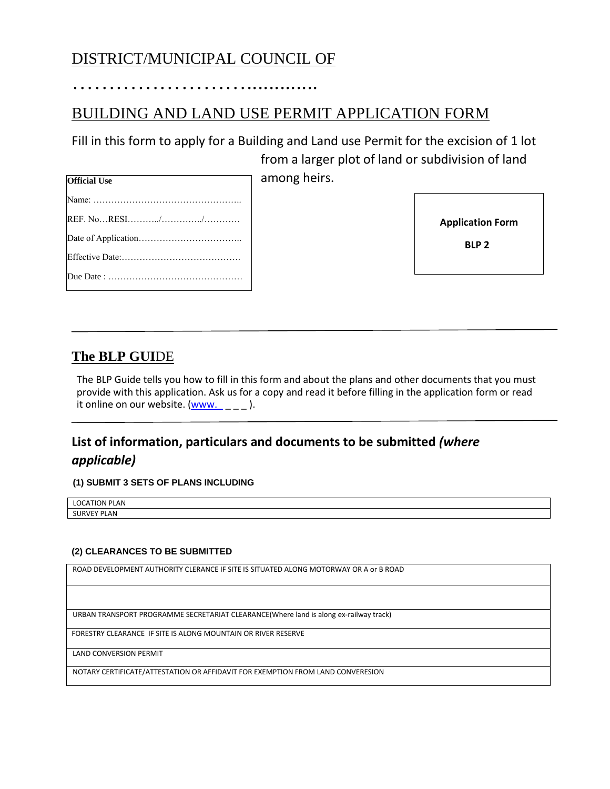# DISTRICT/MUNICIPAL COUNCIL OF

…………………….............

# BUILDING AND LAND USE PERMIT APPLICATION FORM

Fill in this form to apply for a Building and Land use Permit for the excision of 1 lot from a larger plot of land or subdivision of land

among heirs.

| <b>Official Use</b> |
|---------------------|
|                     |
|                     |
|                     |
|                     |
|                     |

**Application Form**

 **BLP 2**

#### **The BLP GUI**DE

The BLP Guide tells you how to fill in this form and about the plans and other documents that you must provide with this application. Ask us for a copy and read it before filling in the application form or read it online on our website. [\(www.\\_](http://www._/) \_ \_ \_ ).

### **List of information, particulars and documents to be submitted** *(where applicable)*

**(1) SUBMIT 3 SETS OF PLANS INCLUDING**

LOCATION PLAN SURVEY PLAN

#### **(2) CLEARANCES TO BE SUBMITTED**

ROAD DEVELOPMENT AUTHORITY CLERANCE IF SITE IS SITUATED ALONG MOTORWAY OR A or B ROAD

URBAN TRANSPORT PROGRAMME SECRETARIAT CLEARANCE(Where land is along ex-railway track)

FORESTRY CLEARANCE IF SITE IS ALONG MOUNTAIN OR RIVER RESERVE

LAND CONVERSION PERMIT

NOTARY CERTIFICATE/ATTESTATION OR AFFIDAVIT FOR EXEMPTION FROM LAND CONVERESION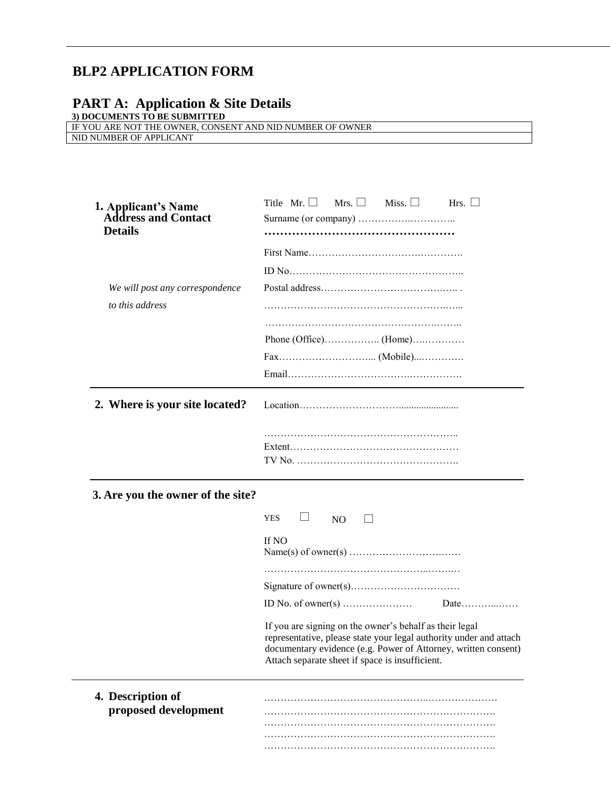## **BLP2 APPLICATION FORM**

#### **PART A: Application & Site Details**

**3) DOCUMENTS TO BE SUBMITTED**

| IF YOU ARE NOT THE OWNER, CONSENT AND NID NUMBER OF OWNER |  |
|-----------------------------------------------------------|--|
| NID NUMBER OF APPLICANT                                   |  |

| 1. Applicant's Name<br><b>Address and Contact</b><br><b>Details</b> | Mrs. $\Box$<br>Title Mr. $\Box$<br>Miss. $\Box$<br>Hrs. $\Box$                                                                                                                                                                                     |
|---------------------------------------------------------------------|----------------------------------------------------------------------------------------------------------------------------------------------------------------------------------------------------------------------------------------------------|
|                                                                     |                                                                                                                                                                                                                                                    |
|                                                                     |                                                                                                                                                                                                                                                    |
| We will post any correspondence                                     |                                                                                                                                                                                                                                                    |
| to this address                                                     |                                                                                                                                                                                                                                                    |
|                                                                     |                                                                                                                                                                                                                                                    |
|                                                                     |                                                                                                                                                                                                                                                    |
|                                                                     |                                                                                                                                                                                                                                                    |
|                                                                     |                                                                                                                                                                                                                                                    |
|                                                                     |                                                                                                                                                                                                                                                    |
| 2. Where is your site located?                                      |                                                                                                                                                                                                                                                    |
|                                                                     |                                                                                                                                                                                                                                                    |
| 3. Are you the owner of the site?                                   |                                                                                                                                                                                                                                                    |
|                                                                     | ப<br><b>YES</b><br>N <sub>O</sub><br>$\mathbf{L}$                                                                                                                                                                                                  |
|                                                                     | If NO                                                                                                                                                                                                                                              |
|                                                                     |                                                                                                                                                                                                                                                    |
|                                                                     |                                                                                                                                                                                                                                                    |
|                                                                     | ID No. of owner(s) $\dots$<br>Date                                                                                                                                                                                                                 |
|                                                                     |                                                                                                                                                                                                                                                    |
|                                                                     | If you are signing on the owner's behalf as their legal<br>representative, please state your legal authority under and attach<br>documentary evidence (e.g. Power of Attorney, written consent)<br>Attach separate sheet if space is insufficient. |
| 4. Description of                                                   |                                                                                                                                                                                                                                                    |
| proposed development                                                |                                                                                                                                                                                                                                                    |
|                                                                     |                                                                                                                                                                                                                                                    |

…………………………………………………………….